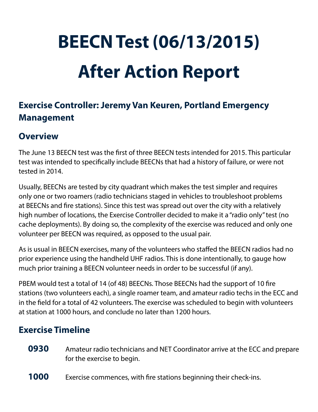# **BEECN Test (06/13/2015) After Action Report**

## **Exercise Controller: Jeremy Van Keuren, Portland Emergency Management**

### **Overview**

The June 13 BEECN test was the first of three BEECN tests intended for 2015. This particular test was intended to specifically include BEECNs that had a history of failure, or were not tested in 2014.

Usually, BEECNs are tested by city quadrant which makes the test simpler and requires only one or two roamers (radio technicians staged in vehicles to troubleshoot problems at BEECNs and fire stations). Since this test was spread out over the city with a relatively high number of locations, the Exercise Controller decided to make it a "radio only" test (no cache deployments). By doing so, the complexity of the exercise was reduced and only one volunteer per BEECN was required, as opposed to the usual pair.

As is usual in BEECN exercises, many of the volunteers who staffed the BEECN radios had no prior experience using the handheld UHF radios. This is done intentionally, to gauge how much prior training a BEECN volunteer needs in order to be successful (if any).

PBEM would test a total of 14 (of 48) BEECNs. Those BEECNs had the support of 10 fire stations (two volunteers each), a single roamer team, and amateur radio techs in the ECC and in the field for a total of 42 volunteers. The exercise was scheduled to begin with volunteers at station at 1000 hours, and conclude no later than 1200 hours.

#### **Exercise Timeline**

- **0930** Amateur radio technicians and NET Coordinator arrive at the ECC and prepare for the exercise to begin.
- **1000** Exercise commences, with fire stations beginning their check-ins.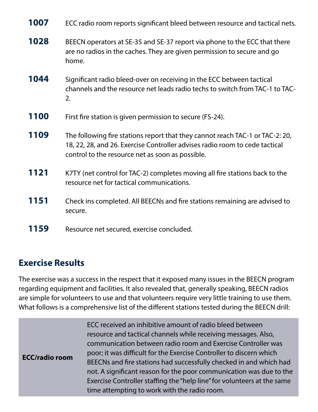| 1007 | ECC radio room reports significant bleed between resource and tactical nets.                                                                                                                                     |
|------|------------------------------------------------------------------------------------------------------------------------------------------------------------------------------------------------------------------|
| 1028 | BEECN operators at SE-35 and SE-37 report via phone to the ECC that there<br>are no radios in the caches. They are given permission to secure and go<br>home.                                                    |
| 1044 | Significant radio bleed-over on receiving in the ECC between tactical<br>channels and the resource net leads radio techs to switch from TAC-1 to TAC-<br>2.                                                      |
| 1100 | First fire station is given permission to secure (FS-24).                                                                                                                                                        |
| 1109 | The following fire stations report that they cannot reach TAC-1 or TAC-2: 20,<br>18, 22, 28, and 26. Exercise Controller advises radio room to cede tactical<br>control to the resource net as soon as possible. |
| 1121 | K7TY (net control for TAC-2) completes moving all fire stations back to the<br>resource net for tactical communications.                                                                                         |
| 1151 | Check ins completed. All BEECNs and fire stations remaining are advised to<br>secure.                                                                                                                            |
| 1159 | Resource net secured, exercise concluded.                                                                                                                                                                        |

#### **Exercise Results**

The exercise was a success in the respect that it exposed many issues in the BEECN program regarding equipment and facilities. It also revealed that, generally speaking, BEECN radios are simple for volunteers to use and that volunteers require very little training to use them. What follows is a comprehensive list of the different stations tested during the BEECN drill:

| ECC received an inhibitive amount of radio bleed between<br>resource and tactical channels while receiving messages. Also,<br>communication between radio room and Exercise Controller was<br>poor; it was difficult for the Exercise Controller to discern which<br><b>ECC/radio room</b><br>BEECNs and fire stations had successfully checked in and which had<br>not. A significant reason for the poor communication was due to the<br>Exercise Controller staffing the "help line" for volunteers at the same<br>time attempting to work with the radio room. |
|--------------------------------------------------------------------------------------------------------------------------------------------------------------------------------------------------------------------------------------------------------------------------------------------------------------------------------------------------------------------------------------------------------------------------------------------------------------------------------------------------------------------------------------------------------------------|
|--------------------------------------------------------------------------------------------------------------------------------------------------------------------------------------------------------------------------------------------------------------------------------------------------------------------------------------------------------------------------------------------------------------------------------------------------------------------------------------------------------------------------------------------------------------------|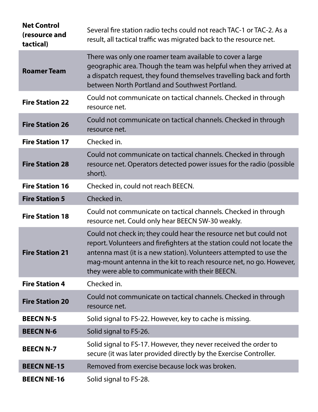| <b>Net Control</b><br>(resource and<br>tactical) | Several fire station radio techs could not reach TAC-1 or TAC-2. As a<br>result, all tactical traffic was migrated back to the resource net.                                                                                                                                                                                                   |
|--------------------------------------------------|------------------------------------------------------------------------------------------------------------------------------------------------------------------------------------------------------------------------------------------------------------------------------------------------------------------------------------------------|
| <b>Roamer Team</b>                               | There was only one roamer team available to cover a large<br>geographic area. Though the team was helpful when they arrived at<br>a dispatch request, they found themselves travelling back and forth<br>between North Portland and Southwest Portland.                                                                                        |
| <b>Fire Station 22</b>                           | Could not communicate on tactical channels. Checked in through<br>resource net.                                                                                                                                                                                                                                                                |
| <b>Fire Station 26</b>                           | Could not communicate on tactical channels. Checked in through<br>resource net.                                                                                                                                                                                                                                                                |
| <b>Fire Station 17</b>                           | Checked in.                                                                                                                                                                                                                                                                                                                                    |
| <b>Fire Station 28</b>                           | Could not communicate on tactical channels. Checked in through<br>resource net. Operators detected power issues for the radio (possible<br>short).                                                                                                                                                                                             |
| <b>Fire Station 16</b>                           | Checked in, could not reach BEECN.                                                                                                                                                                                                                                                                                                             |
| <b>Fire Station 5</b>                            | Checked in.                                                                                                                                                                                                                                                                                                                                    |
| <b>Fire Station 18</b>                           | Could not communicate on tactical channels. Checked in through<br>resource net. Could only hear BEECN SW-30 weakly.                                                                                                                                                                                                                            |
| <b>Fire Station 21</b>                           | Could not check in; they could hear the resource net but could not<br>report. Volunteers and firefighters at the station could not locate the<br>antenna mast (it is a new station). Volunteers attempted to use the<br>mag-mount antenna in the kit to reach resource net, no go. However,<br>they were able to communicate with their BEECN. |
| <b>Fire Station 4</b>                            | Checked in.                                                                                                                                                                                                                                                                                                                                    |
| <b>Fire Station 20</b>                           | Could not communicate on tactical channels. Checked in through<br>resource net.                                                                                                                                                                                                                                                                |
| <b>BEECN N-5</b>                                 | Solid signal to FS-22. However, key to cache is missing.                                                                                                                                                                                                                                                                                       |
| <b>BEECN N-6</b>                                 | Solid signal to FS-26.                                                                                                                                                                                                                                                                                                                         |
| <b>BEECN N-7</b>                                 | Solid signal to FS-17. However, they never received the order to<br>secure (it was later provided directly by the Exercise Controller.                                                                                                                                                                                                         |
| <b>BEECN NE-15</b>                               | Removed from exercise because lock was broken.                                                                                                                                                                                                                                                                                                 |
| <b>BEECN NE-16</b>                               | Solid signal to FS-28.                                                                                                                                                                                                                                                                                                                         |